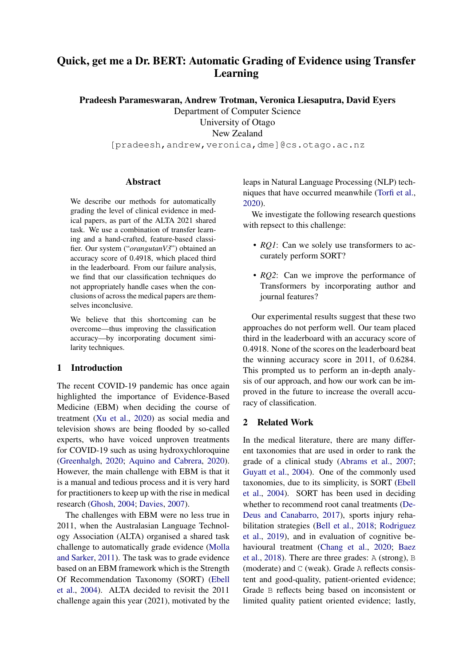# Quick, get me a Dr. BERT: Automatic Grading of Evidence using Transfer Learning

Pradeesh Parameswaran, Andrew Trotman, Veronica Liesaputra, David Eyers

Department of Computer Science University of Otago New Zealand

[pradeesh,andrew,veronica,dme]@cs.otago.ac.nz

## Abstract

We describe our methods for automatically grading the level of clinical evidence in medical papers, as part of the ALTA 2021 shared task. We use a combination of transfer learning and a hand-crafted, feature-based classifier. Our system ("*orangutanV3*") obtained an accuracy score of 0.4918, which placed third in the leaderboard. From our failure analysis, we find that our classification techniques do not appropriately handle cases when the conclusions of across the medical papers are themselves inconclusive.

We believe that this shortcoming can be overcome—thus improving the classification accuracy—by incorporating document similarity techniques.

# 1 Introduction

The recent COVID-19 pandemic has once again highlighted the importance of Evidence-Based Medicine (EBM) when deciding the course of treatment [\(Xu et al.,](#page-7-0) [2020\)](#page-7-0) as social media and television shows are being flooded by so-called experts, who have voiced unproven treatments for COVID-19 such as using hydroxychloroquine [\(Greenhalgh,](#page-6-0) [2020;](#page-6-0) [Aquino and Cabrera,](#page-5-0) [2020\)](#page-5-0). However, the main challenge with EBM is that it is a manual and tedious process and it is very hard for practitioners to keep up with the rise in medical research [\(Ghosh,](#page-6-1) [2004;](#page-6-1) [Davies,](#page-5-1) [2007\)](#page-5-1).

The challenges with EBM were no less true in 2011, when the Australasian Language Technology Association (ALTA) organised a shared task challenge to automatically grade evidence [\(Molla](#page-6-2) [and Sarker,](#page-6-2) [2011\)](#page-6-2). The task was to grade evidence based on an EBM framework which is the Strength Of Recommendation Taxonomy (SORT) [\(Ebell](#page-6-3) [et al.,](#page-6-3) [2004\)](#page-6-3). ALTA decided to revisit the 2011 challenge again this year (2021), motivated by the

leaps in Natural Language Processing (NLP) techniques that have occurred meanwhile [\(Torfi et al.,](#page-6-4) [2020\)](#page-6-4).

We investigate the following research questions with repsect to this challenge:

- *RQ1*: Can we solely use transformers to accurately perform SORT?
- *RO2*: Can we improve the performance of Transformers by incorporating author and journal features?

Our experimental results suggest that these two approaches do not perform well. Our team placed third in the leaderboard with an accuracy score of 0.4918. None of the scores on the leaderboard beat the winning accuracy score in 2011, of 0.6284. This prompted us to perform an in-depth analysis of our approach, and how our work can be improved in the future to increase the overall accuracy of classification.

# 2 Related Work

In the medical literature, there are many different taxonomies that are used in order to rank the grade of a clinical study [\(Abrams et al.,](#page-5-2) [2007;](#page-5-2) [Guyatt et al.,](#page-6-5) [2004\)](#page-6-5). One of the commonly used taxonomies, due to its simplicity, is SORT [\(Ebell](#page-6-3) [et al.,](#page-6-3) [2004\)](#page-6-3). SORT has been used in deciding whether to recommend root canal treatments [\(De-](#page-5-3)[Deus and Canabarro,](#page-5-3) [2017\)](#page-5-3), sports injury rehabilitation strategies [\(Bell et al.,](#page-5-4) [2018;](#page-5-4) [Rodriguez](#page-6-6) [et al.,](#page-6-6) [2019\)](#page-6-6), and in evaluation of cognitive behavioural treatment [\(Chang et al.,](#page-5-5) [2020;](#page-5-5) [Baez](#page-5-6) [et al.,](#page-5-6) [2018\)](#page-5-6). There are three grades: A (strong), B (moderate) and C (weak). Grade A reflects consistent and good-quality, patient-oriented evidence; Grade B reflects being based on inconsistent or limited quality patient oriented evidence; lastly,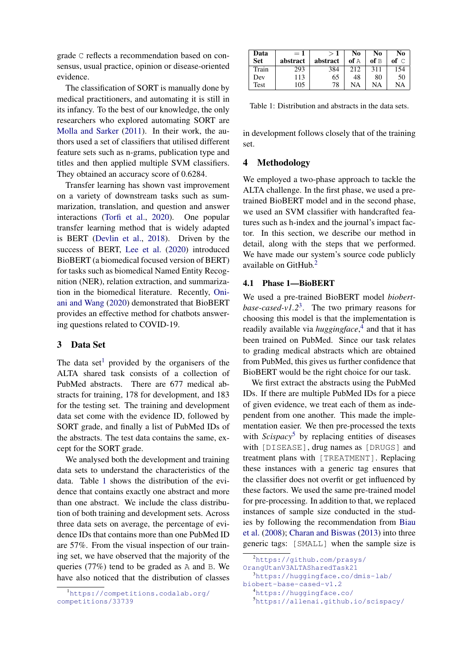grade C reflects a recommendation based on consensus, usual practice, opinion or disease-oriented evidence.

The classification of SORT is manually done by medical practitioners, and automating it is still in its infancy. To the best of our knowledge, the only researchers who explored automating SORT are [Molla and Sarker](#page-6-2) [\(2011\)](#page-6-2). In their work, the authors used a set of classifiers that utilised different feature sets such as n-grams, publication type and titles and then applied multiple SVM classifiers. They obtained an accuracy score of 0.6284.

Transfer learning has shown vast improvement on a variety of downstream tasks such as summarization, translation, and question and answer interactions [\(Torfi et al.,](#page-6-4) [2020\)](#page-6-4). One popular transfer learning method that is widely adapted is BERT [\(Devlin et al.,](#page-5-7) [2018\)](#page-5-7). Driven by the success of BERT, [Lee et al.](#page-6-7) [\(2020\)](#page-6-7) introduced BioBERT (a biomedical focused version of BERT) for tasks such as biomedical Named Entity Recognition (NER), relation extraction, and summarization in the biomedical literature. Recently, [Oni](#page-6-8)[ani and Wang](#page-6-8) [\(2020\)](#page-6-8) demonstrated that BioBERT provides an effective method for chatbots answering questions related to COVID-19.

# 3 Data Set

The data set<sup>[1](#page-1-0)</sup> provided by the organisers of the ALTA shared task consists of a collection of PubMed abstracts. There are 677 medical abstracts for training, 178 for development, and 183 for the testing set. The training and development data set come with the evidence ID, followed by SORT grade, and finally a list of PubMed IDs of the abstracts. The test data contains the same, except for the SORT grade.

We analysed both the development and training data sets to understand the characteristics of the data. Table [1](#page-1-1) shows the distribution of the evidence that contains exactly one abstract and more than one abstract. We include the class distribution of both training and development sets. Across three data sets on average, the percentage of evidence IDs that contains more than one PubMed ID are 57%. From the visual inspection of our training set, we have observed that the majority of the queries (77%) tend to be graded as A and B. We have also noticed that the distribution of classes

<span id="page-1-1"></span>

| Data       | $=1$     |          | N0   | No   | No   |
|------------|----------|----------|------|------|------|
| <b>Set</b> | abstract | abstract | of A | of B | of C |
| Train      | 293      | 384      | 212  | 311  |      |
| Dev        | 113      | 65       | 48   | 80   | 50   |
| Test       | 105      | 78       | NA   | NA   | NA   |

Table 1: Distribution and abstracts in the data sets.

in development follows closely that of the training set.

# 4 Methodology

We employed a two-phase approach to tackle the ALTA challenge. In the first phase, we used a pretrained BioBERT model and in the second phase, we used an SVM classifier with handcrafted features such as h-index and the journal's impact factor. In this section, we describe our method in detail, along with the steps that we performed. We have made our system's source code publicly available on GitHub.<sup>[2](#page-1-2)</sup>

## 4.1 Phase 1—BioBERT

We used a pre-trained BioBERT model *biobertbase-cased-v1.2*[3](#page-1-3) . The two primary reasons for choosing this model is that the implementation is readily available via *huggingface*, [4](#page-1-4) and that it has been trained on PubMed. Since our task relates to grading medical abstracts which are obtained from PubMed, this gives us further confidence that BioBERT would be the right choice for our task.

We first extract the abstracts using the PubMed IDs. If there are multiple PubMed IDs for a piece of given evidence, we treat each of them as independent from one another. This made the implementation easier. We then pre-processed the texts with *Scispacy*<sup>[5](#page-1-5)</sup> by replacing entities of diseases with [DISEASE], drug names as [DRUGS] and treatment plans with [TREATMENT]. Replacing these instances with a generic tag ensures that the classifier does not overfit or get influenced by these factors. We used the same pre-trained model for pre-processing. In addition to that, we replaced instances of sample size conducted in the studies by following the recommendation from [Biau](#page-5-8) [et al.](#page-5-8) [\(2008\)](#page-5-8); [Charan and Biswas](#page-5-9) [\(2013\)](#page-5-9) into three generic tags: [SMALL] when the sample size is

<span id="page-1-4"></span><sup>4</sup><https://huggingface.co/>

<span id="page-1-0"></span><sup>1</sup>[https://competitions.codalab.org/](https://competitions.codalab.org/competitions/33739) [competitions/33739](https://competitions.codalab.org/competitions/33739)

<span id="page-1-2"></span><sup>2</sup>[https://github.com/prasys/](https://github.com/prasys/OrangUtanV3ALTASharedTask21)

<span id="page-1-3"></span>[OrangUtanV3ALTASharedTask21](https://github.com/prasys/OrangUtanV3ALTASharedTask21) <sup>3</sup>[https://huggingface.co/dmis-lab/](https://huggingface.co/dmis-lab/biobert-base-cased-v1.2)

[biobert-base-cased-v1.2](https://huggingface.co/dmis-lab/biobert-base-cased-v1.2)

<span id="page-1-5"></span><sup>5</sup><https://allenai.github.io/scispacy/>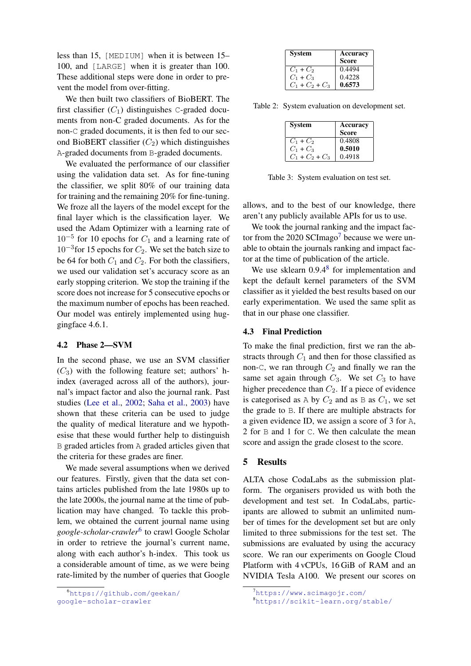less than 15, [MEDIUM] when it is between 15– 100, and [LARGE] when it is greater than 100. These additional steps were done in order to prevent the model from over-fitting.

We then built two classifiers of BioBERT. The first classifier  $(C_1)$  distinguishes C-graded documents from non-C graded documents. As for the non-C graded documents, it is then fed to our second BioBERT classifier  $(C_2)$  which distinguishes A-graded documents from B-graded documents.

We evaluated the performance of our classifier using the validation data set. As for fine-tuning the classifier, we split 80% of our training data for training and the remaining 20% for fine-tuning. We froze all the layers of the model except for the final layer which is the classification layer. We used the Adam Optimizer with a learning rate of  $10^{-5}$  for 10 epochs for  $C_1$  and a learning rate of  $10^{-3}$  for 15 epochs for  $C_2$ . We set the batch size to be 64 for both  $C_1$  and  $C_2$ . For both the classifiers, we used our validation set's accuracy score as an early stopping criterion. We stop the training if the score does not increase for 5 consecutive epochs or the maximum number of epochs has been reached. Our model was entirely implemented using huggingface 4.6.1.

#### 4.2 Phase 2—SVM

In the second phase, we use an SVM classifier  $(C_3)$  with the following feature set; authors' hindex (averaged across all of the authors), journal's impact factor and also the journal rank. Past studies [\(Lee et al.,](#page-6-9) [2002;](#page-6-9) [Saha et al.,](#page-6-10) [2003\)](#page-6-10) have shown that these criteria can be used to judge the quality of medical literature and we hypothesise that these would further help to distinguish B graded articles from A graded articles given that the criteria for these grades are finer.

We made several assumptions when we derived our features. Firstly, given that the data set contains articles published from the late 1980s up to the late 2000s, the journal name at the time of publication may have changed. To tackle this problem, we obtained the current journal name using *google-scholar-crawler*[6](#page-2-0) to crawl Google Scholar in order to retrieve the journal's current name, along with each author's h-index. This took us a considerable amount of time, as we were being rate-limited by the number of queries that Google

<span id="page-2-3"></span>

| <b>System</b>     | Accuracy     |  |  |
|-------------------|--------------|--|--|
|                   | <b>Score</b> |  |  |
| $C_1 + C_2$       | 0.4494       |  |  |
| $C_1 + C_3$       | 0.4228       |  |  |
| $C_1 + C_2 + C_3$ | 0.6573       |  |  |

<span id="page-2-4"></span>Table 2: System evaluation on development set.

| <b>System</b>     | Accuracy<br><b>Score</b> |
|-------------------|--------------------------|
| $C_1 + C_2$       | 0.4808                   |
| $C_1 + C_3$       | 0.5010                   |
| $C_1 + C_2 + C_3$ | 0.4918                   |

Table 3: System evaluation on test set.

allows, and to the best of our knowledge, there aren't any publicly available APIs for us to use.

We took the journal ranking and the impact fac-tor from the 2020 SCImago<sup>[7](#page-2-1)</sup> because we were unable to obtain the journals ranking and impact factor at the time of publication of the article.

We use sklearn 0.9.4<sup>[8](#page-2-2)</sup> for implementation and kept the default kernel parameters of the SVM classifier as it yielded the best results based on our early experimentation. We used the same split as that in our phase one classifier.

### 4.3 Final Prediction

To make the final prediction, first we ran the abstracts through  $C_1$  and then for those classified as non-C, we ran through  $C_2$  and finally we ran the same set again through  $C_3$ . We set  $C_3$  to have higher precedence than  $C_2$ . If a piece of evidence is categorised as  $A$  by  $C_2$  and as  $B$  as  $C_1$ , we set the grade to B. If there are multiple abstracts for a given evidence ID, we assign a score of 3 for A, 2 for B and 1 for C. We then calculate the mean score and assign the grade closest to the score.

## 5 Results

ALTA chose CodaLabs as the submission platform. The organisers provided us with both the development and test set. In CodaLabs, participants are allowed to submit an unlimited number of times for the development set but are only limited to three submissions for the test set. The submissions are evaluated by using the accuracy score. We ran our experiments on Google Cloud Platform with 4 vCPUs, 16 GiB of RAM and an NVIDIA Tesla A100. We present our scores on

<span id="page-2-0"></span><sup>6</sup>[https://github.com/geekan/](https://github.com/geekan/google-scholar-crawler) [google-scholar-crawler](https://github.com/geekan/google-scholar-crawler)

<span id="page-2-1"></span> $7$ <https://www.scimagojr.com/>

<span id="page-2-2"></span><sup>8</sup><https://scikit-learn.org/stable/>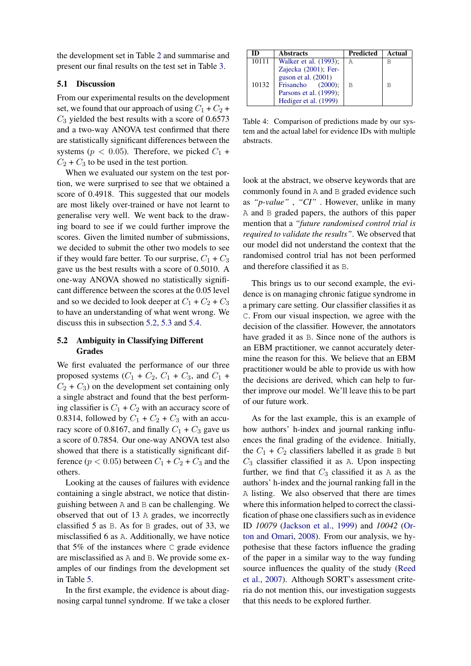the development set in Table [2](#page-2-3) and summarise and present our final results on the test set in Table [3.](#page-2-4)

### 5.1 Discussion

From our experimental results on the development set, we found that our approach of using  $C_1 + C_2$  +  $C_3$  yielded the best results with a score of 0.6573 and a two-way ANOVA test confirmed that there are statistically significant differences between the systems ( $p < 0.05$ ). Therefore, we picked  $C_1$  +  $C_2 + C_3$  to be used in the test portion.

When we evaluated our system on the test portion, we were surprised to see that we obtained a score of 0.4918. This suggested that our models are most likely over-trained or have not learnt to generalise very well. We went back to the drawing board to see if we could further improve the scores. Given the limited number of submissions, we decided to submit the other two models to see if they would fare better. To our surprise,  $C_1 + C_3$ gave us the best results with a score of 0.5010. A one-way ANOVA showed no statistically significant difference between the scores at the 0.05 level and so we decided to look deeper at  $C_1 + C_2 + C_3$ to have an understanding of what went wrong. We discuss this in subsection [5.2,](#page-3-0) [5.3](#page-4-0) and [5.4.](#page-4-1)

# <span id="page-3-0"></span>5.2 Ambiguity in Classifying Different Grades

We first evaluated the performance of our three proposed systems  $(C_1 + C_2, C_1 + C_3,$  and  $C_1$  +  $C_2 + C_3$ ) on the development set containing only a single abstract and found that the best performing classifier is  $C_1 + C_2$  with an accuracy score of 0.8314, followed by  $C_1 + C_2 + C_3$  with an accuracy score of 0.8167, and finally  $C_1 + C_3$  gave us a score of 0.7854. Our one-way ANOVA test also showed that there is a statistically significant difference ( $p < 0.05$ ) between  $C_1 + C_2 + C_3$  and the others.

Looking at the causes of failures with evidence containing a single abstract, we notice that distinguishing between A and B can be challenging. We observed that out of 13 A grades, we incorrectly classified 5 as B. As for B grades, out of 33, we misclassified 6 as A. Additionally, we have notice that 5% of the instances where C grade evidence are misclassified as A and B. We provide some examples of our findings from the development set in Table [5.](#page-5-10)

In the first example, the evidence is about diagnosing carpal tunnel syndrome. If we take a closer

<span id="page-3-1"></span>

| ID    | <b>Abstracts</b>                               | Predicted | Actual |
|-------|------------------------------------------------|-----------|--------|
| 10111 | Walker et al. (1993);                          | А         |        |
|       | Zajecka (2001); Fer-<br>guson et al. $(2001)$  |           |        |
| 10132 | Frisancho $(2000)$ ;<br>Parsons et al. (1999); | B         | R      |
|       | Hediger et al. (1999)                          |           |        |

Table 4: Comparison of predictions made by our system and the actual label for evidence IDs with multiple abstracts.

look at the abstract, we observe keywords that are commonly found in A and B graded evidence such as *"p-value"* , *"CI"* . However, unlike in many A and B graded papers, the authors of this paper mention that a *"future randomised control trial is required to validate the results"*. We observed that our model did not understand the context that the randomised control trial has not been performed and therefore classified it as B.

This brings us to our second example, the evidence is on managing chronic fatigue syndrome in a primary care setting. Our classifier classifies it as C. From our visual inspection, we agree with the decision of the classifier. However, the annotators have graded it as B. Since none of the authors is an EBM practitioner, we cannot accurately determine the reason for this. We believe that an EBM practitioner would be able to provide us with how the decisions are derived, which can help to further improve our model. We'll leave this to be part of our future work.

As for the last example, this is an example of how authors' h-index and journal ranking influences the final grading of the evidence. Initially, the  $C_1 + C_2$  classifiers labelled it as grade B but  $C_3$  classifier classified it as A. Upon inspecting further, we find that  $C_3$  classified it as A as the authors' h-index and the journal ranking fall in the A listing. We also observed that there are times where this information helped to correct the classification of phase one classifiers such as in evidence ID *10079* [\(Jackson et al.,](#page-6-15) [1999\)](#page-6-15) and *10042* [\(Or](#page-6-16)[ton and Omari,](#page-6-16) [2008\)](#page-6-16). From our analysis, we hypothesise that these factors influence the grading of the paper in a similar way to the way funding source influences the quality of the study [\(Reed](#page-6-17) [et al.,](#page-6-17) [2007\)](#page-6-17). Although SORT's assessment criteria do not mention this, our investigation suggests that this needs to be explored further.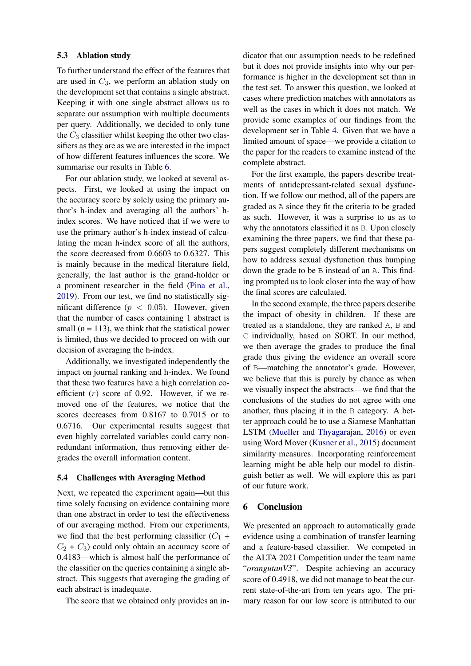#### <span id="page-4-0"></span>5.3 Ablation study

To further understand the effect of the features that are used in  $C_3$ , we perform an ablation study on the development set that contains a single abstract. Keeping it with one single abstract allows us to separate our assumption with multiple documents per query. Additionally, we decided to only tune the  $C_3$  classifier whilst keeping the other two classifiers as they are as we are interested in the impact of how different features influences the score. We summarise our results in Table [6.](#page-5-11)

For our ablation study, we looked at several aspects. First, we looked at using the impact on the accuracy score by solely using the primary author's h-index and averaging all the authors' hindex scores. We have noticed that if we were to use the primary author's h-index instead of calculating the mean h-index score of all the authors, the score decreased from 0.6603 to 0.6327. This is mainly because in the medical literature field, generally, the last author is the grand-holder or a prominent researcher in the field [\(Pina et al.,](#page-6-18) [2019\)](#page-6-18). From our test, we find no statistically significant difference ( $p < 0.05$ ). However, given that the number of cases containing 1 abstract is small ( $n = 113$ ), we think that the statistical power is limited, thus we decided to proceed on with our decision of averaging the h-index.

Additionally, we investigated independently the impact on journal ranking and h-index. We found that these two features have a high correlation coefficient  $(r)$  score of 0.92. However, if we removed one of the features, we notice that the scores decreases from 0.8167 to 0.7015 or to 0.6716. Our experimental results suggest that even highly correlated variables could carry nonredundant information, thus removing either degrades the overall information content.

### <span id="page-4-1"></span>5.4 Challenges with Averaging Method

Next, we repeated the experiment again—but this time solely focusing on evidence containing more than one abstract in order to test the effectiveness of our averaging method. From our experiments, we find that the best performing classifier  $(C_1 +$  $C_2 + C_3$  could only obtain an accuracy score of 0.4183—which is almost half the performance of the classifier on the queries containing a single abstract. This suggests that averaging the grading of each abstract is inadequate.

The score that we obtained only provides an in-

dicator that our assumption needs to be redefined but it does not provide insights into why our performance is higher in the development set than in the test set. To answer this question, we looked at cases where prediction matches with annotators as well as the cases in which it does not match. We provide some examples of our findings from the development set in Table [4.](#page-3-1) Given that we have a limited amount of space—we provide a citation to the paper for the readers to examine instead of the complete abstract.

For the first example, the papers describe treatments of antidepressant-related sexual dysfunction. If we follow our method, all of the papers are graded as A since they fit the criteria to be graded as such. However, it was a surprise to us as to why the annotators classified it as B. Upon closely examining the three papers, we find that these papers suggest completely different mechanisms on how to address sexual dysfunction thus bumping down the grade to be B instead of an A. This finding prompted us to look closer into the way of how the final scores are calculated.

In the second example, the three papers describe the impact of obesity in children. If these are treated as a standalone, they are ranked A, B and C individually, based on SORT. In our method, we then average the grades to produce the final grade thus giving the evidence an overall score of B—matching the annotator's grade. However, we believe that this is purely by chance as when we visually inspect the abstracts—we find that the conclusions of the studies do not agree with one another, thus placing it in the B category. A better approach could be to use a Siamese Manhattan LSTM [\(Mueller and Thyagarajan,](#page-6-19) [2016\)](#page-6-19) or even using Word Mover [\(Kusner et al.,](#page-6-20) [2015\)](#page-6-20) document similarity measures. Incorporating reinforcement learning might be able help our model to distinguish better as well. We will explore this as part of our future work.

## 6 Conclusion

We presented an approach to automatically grade evidence using a combination of transfer learning and a feature-based classifier. We competed in the ALTA 2021 Competition under the team name "*orangutanV3*". Despite achieving an accuracy score of 0.4918, we did not manage to beat the current state-of-the-art from ten years ago. The primary reason for our low score is attributed to our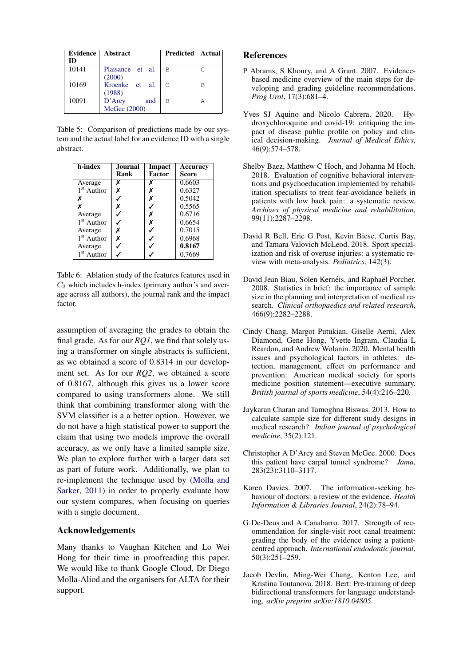<span id="page-5-10"></span>

| Evidence | Abstract         | Predicted   Actual |   |
|----------|------------------|--------------------|---|
| ID       |                  |                    |   |
| 10141    | Plaisance et al. | B                  | C |
|          | (2000)           |                    |   |
| 10169    | Kroenke et al.   | C                  | B |
|          | (1988)           |                    |   |
| 10091    | D'Arcy<br>and    | В                  | Α |
|          | McGee (2000)     |                    |   |

Table 5: Comparison of predictions made by our system and the actual label for an evidence ID with a single abstract.

<span id="page-5-11"></span>

| h-index                | Journal |        | Accuracy |  |
|------------------------|---------|--------|----------|--|
|                        | Rank    | Factor | Score    |  |
| Average                | X       |        | 0.6603   |  |
| 1 <sup>st</sup> Author | X       | х      | 0.6327   |  |
| x                      |         | х      | 0.5042   |  |
|                        | х       |        | 0.5565   |  |
| Average                |         | x      | 0.6716   |  |
| 1 <sup>st</sup> Author |         | х      | 0.6654   |  |
| Average                | Х       |        | 0.7015   |  |
| $1st$ Author           | Х       |        | 0.6968   |  |
| Average                |         |        | 0.8167   |  |
| $1st$ Author           |         |        | 0.7669   |  |

Table 6: Ablation study of the features features used in  $C_3$  which includes h-index (primary author's and average across all authors), the journal rank and the impact factor.

assumption of averaging the grades to obtain the final grade. As for our *RQ1*, we find that solely using a transformer on single abstracts is sufficient, as we obtained a score of 0.8314 in our development set. As for our *RQ2*, we obtained a score of 0.8167, although this gives us a lower score compared to using transformers alone. We still think that combining transformer along with the SVM classifier is a a better option. However, we do not have a high statistical power to support the claim that using two models improve the overall accuracy, as we only have a limited sample size. We plan to explore further with a larger data set as part of future work. Additionally, we plan to re-implement the technique used by [\(Molla and](#page-6-2) [Sarker,](#page-6-2) [2011\)](#page-6-2) in order to properly evaluate how our system compares, when focusing on queries with a single document.

## Acknowledgements

Many thanks to Vaughan Kitchen and Lo Wei Hong for their time in proofreading this paper. We would like to thank Google Cloud, Dr Diego Molla-Aliod and the organisers for ALTA for their support.

#### References

- <span id="page-5-2"></span>P Abrams, S Khoury, and A Grant. 2007. Evidencebased medicine overview of the main steps for developing and grading guideline recommendations. *Prog Urol*, 17(3):681–4.
- <span id="page-5-0"></span>Yves SJ Aquino and Nicolo Cabrera. 2020. Hydroxychloroquine and covid-19: critiquing the impact of disease public profile on policy and clinical decision-making. *Journal of Medical Ethics*, 46(9):574–578.
- <span id="page-5-6"></span>Shelby Baez, Matthew C Hoch, and Johanna M Hoch. 2018. Evaluation of cognitive behavioral interventions and psychoeducation implemented by rehabilitation specialists to treat fear-avoidance beliefs in patients with low back pain: a systematic review. *Archives of physical medicine and rehabilitation*, 99(11):2287–2298.
- <span id="page-5-4"></span>David R Bell, Eric G Post, Kevin Biese, Curtis Bay, and Tamara Valovich McLeod. 2018. Sport specialization and risk of overuse injuries: a systematic review with meta-analysis. *Pediatrics*, 142(3).
- <span id="page-5-8"></span>David Jean Biau, Solen Kernéis, and Raphaël Porcher. 2008. Statistics in brief: the importance of sample size in the planning and interpretation of medical research. *Clinical orthopaedics and related research*, 466(9):2282–2288.
- <span id="page-5-5"></span>Cindy Chang, Margot Putukian, Giselle Aerni, Alex Diamond, Gene Hong, Yvette Ingram, Claudia L Reardon, and Andrew Wolanin. 2020. Mental health issues and psychological factors in athletes: detection, management, effect on performance and prevention: American medical society for sports medicine position statement—executive summary. *British journal of sports medicine*, 54(4):216–220.
- <span id="page-5-9"></span>Jaykaran Charan and Tamoghna Biswas. 2013. How to calculate sample size for different study designs in medical research? *Indian journal of psychological medicine*, 35(2):121.
- <span id="page-5-12"></span>Christopher A D'Arcy and Steven McGee. 2000. Does this patient have carpal tunnel syndrome? *Jama*, 283(23):3110–3117.
- <span id="page-5-1"></span>Karen Davies. 2007. The information-seeking behaviour of doctors: a review of the evidence. *Health Information & Libraries Journal*, 24(2):78–94.
- <span id="page-5-3"></span>G De-Deus and A Canabarro. 2017. Strength of recommendation for single-visit root canal treatment: grading the body of the evidence using a patientcentred approach. *International endodontic journal*, 50(3):251–259.
- <span id="page-5-7"></span>Jacob Devlin, Ming-Wei Chang, Kenton Lee, and Kristina Toutanova. 2018. Bert: Pre-training of deep bidirectional transformers for language understanding. *arXiv preprint arXiv:1810.04805*.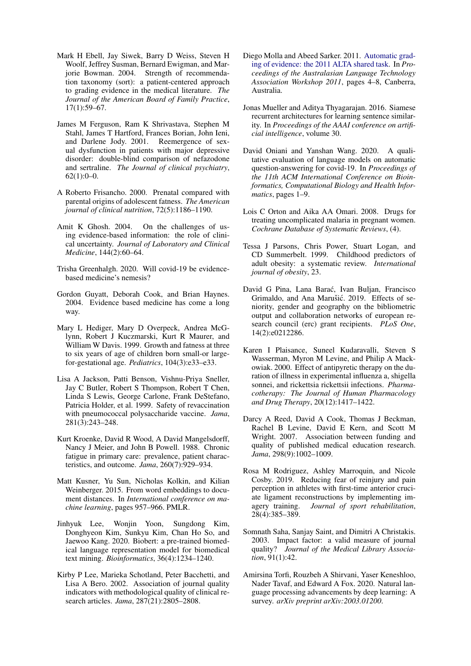- <span id="page-6-3"></span>Mark H Ebell, Jay Siwek, Barry D Weiss, Steven H Woolf, Jeffrey Susman, Bernard Ewigman, and Marjorie Bowman. 2004. Strength of recommendation taxonomy (sort): a patient-centered approach to grading evidence in the medical literature. *The Journal of the American Board of Family Practice*, 17(1):59–67.
- <span id="page-6-11"></span>James M Ferguson, Ram K Shrivastava, Stephen M Stahl, James T Hartford, Frances Borian, John Ieni, and Darlene Jody. 2001. Reemergence of sexual dysfunction in patients with major depressive disorder: double-blind comparison of nefazodone and sertraline. *The Journal of clinical psychiatry*,  $62(1):0-0.$
- <span id="page-6-12"></span>A Roberto Frisancho. 2000. Prenatal compared with parental origins of adolescent fatness. *The American journal of clinical nutrition*, 72(5):1186–1190.
- <span id="page-6-1"></span>Amit K Ghosh. 2004. On the challenges of using evidence-based information: the role of clinical uncertainty. *Journal of Laboratory and Clinical Medicine*, 144(2):60–64.
- <span id="page-6-0"></span>Trisha Greenhalgh. 2020. Will covid-19 be evidencebased medicine's nemesis?
- <span id="page-6-5"></span>Gordon Guyatt, Deborah Cook, and Brian Haynes. 2004. Evidence based medicine has come a long way.
- <span id="page-6-14"></span>Mary L Hediger, Mary D Overpeck, Andrea McGlynn, Robert J Kuczmarski, Kurt R Maurer, and William W Davis. 1999. Growth and fatness at three to six years of age of children born small-or largefor-gestational age. *Pediatrics*, 104(3):e33–e33.
- <span id="page-6-15"></span>Lisa A Jackson, Patti Benson, Vishnu-Priya Sneller, Jay C Butler, Robert S Thompson, Robert T Chen, Linda S Lewis, George Carlone, Frank DeStefano, Patricia Holder, et al. 1999. Safety of revaccination with pneumococcal polysaccharide vaccine. *Jama*, 281(3):243–248.
- <span id="page-6-22"></span>Kurt Kroenke, David R Wood, A David Mangelsdorff, Nancy J Meier, and John B Powell. 1988. Chronic fatigue in primary care: prevalence, patient characteristics, and outcome. *Jama*, 260(7):929–934.
- <span id="page-6-20"></span>Matt Kusner, Yu Sun, Nicholas Kolkin, and Kilian Weinberger. 2015. From word embeddings to document distances. In *International conference on machine learning*, pages 957–966. PMLR.
- <span id="page-6-7"></span>Jinhyuk Lee, Wonjin Yoon, Sungdong Kim, Donghyeon Kim, Sunkyu Kim, Chan Ho So, and Jaewoo Kang. 2020. Biobert: a pre-trained biomedical language representation model for biomedical text mining. *Bioinformatics*, 36(4):1234–1240.
- <span id="page-6-9"></span>Kirby P Lee, Marieka Schotland, Peter Bacchetti, and Lisa A Bero. 2002. Association of journal quality indicators with methodological quality of clinical research articles. *Jama*, 287(21):2805–2808.
- <span id="page-6-2"></span>Diego Molla and Abeed Sarker. 2011. [Automatic grad](https://aclanthology.org/U11-1003)[ing of evidence: the 2011 ALTA shared task.](https://aclanthology.org/U11-1003) In *Proceedings of the Australasian Language Technology Association Workshop 2011*, pages 4–8, Canberra, Australia.
- <span id="page-6-19"></span>Jonas Mueller and Aditya Thyagarajan. 2016. Siamese recurrent architectures for learning sentence similarity. In *Proceedings of the AAAI conference on artificial intelligence*, volume 30.
- <span id="page-6-8"></span>David Oniani and Yanshan Wang. 2020. A qualitative evaluation of language models on automatic question-answering for covid-19. In *Proceedings of the 11th ACM International Conference on Bioinformatics, Computational Biology and Health Informatics*, pages 1–9.
- <span id="page-6-16"></span>Lois C Orton and Aika AA Omari. 2008. Drugs for treating uncomplicated malaria in pregnant women. *Cochrane Database of Systematic Reviews*, (4).
- <span id="page-6-13"></span>Tessa J Parsons, Chris Power, Stuart Logan, and CD Summerbelt. 1999. Childhood predictors of adult obesity: a systematic review. *International journal of obesity*, 23.
- <span id="page-6-18"></span>David G Pina, Lana Barać, Ivan Buljan, Francisco Grimaldo, and Ana Marušić. 2019. Effects of seniority, gender and geography on the bibliometric output and collaboration networks of european research council (erc) grant recipients. *PLoS One*, 14(2):e0212286.
- <span id="page-6-21"></span>Karen I Plaisance, Suneel Kudaravalli, Steven S Wasserman, Myron M Levine, and Philip A Mackowiak. 2000. Effect of antipyretic therapy on the duration of illness in experimental influenza a, shigella sonnei, and rickettsia rickettsii infections. *Pharmacotherapy: The Journal of Human Pharmacology and Drug Therapy*, 20(12):1417–1422.
- <span id="page-6-17"></span>Darcy A Reed, David A Cook, Thomas J Beckman, Rachel B Levine, David E Kern, and Scott M Wright. 2007. Association between funding and quality of published medical education research. *Jama*, 298(9):1002–1009.
- <span id="page-6-6"></span>Rosa M Rodriguez, Ashley Marroquin, and Nicole Cosby. 2019. Reducing fear of reinjury and pain perception in athletes with first-time anterior cruciate ligament reconstructions by implementing imagery training. *Journal of sport rehabilitation*, 28(4):385–389.
- <span id="page-6-10"></span>Somnath Saha, Sanjay Saint, and Dimitri A Christakis. 2003. Impact factor: a valid measure of journal quality? *Journal of the Medical Library Association*, 91(1):42.
- <span id="page-6-4"></span>Amirsina Torfi, Rouzbeh A Shirvani, Yaser Keneshloo, Nader Tavaf, and Edward A Fox. 2020. Natural language processing advancements by deep learning: A survey. *arXiv preprint arXiv:2003.01200*.